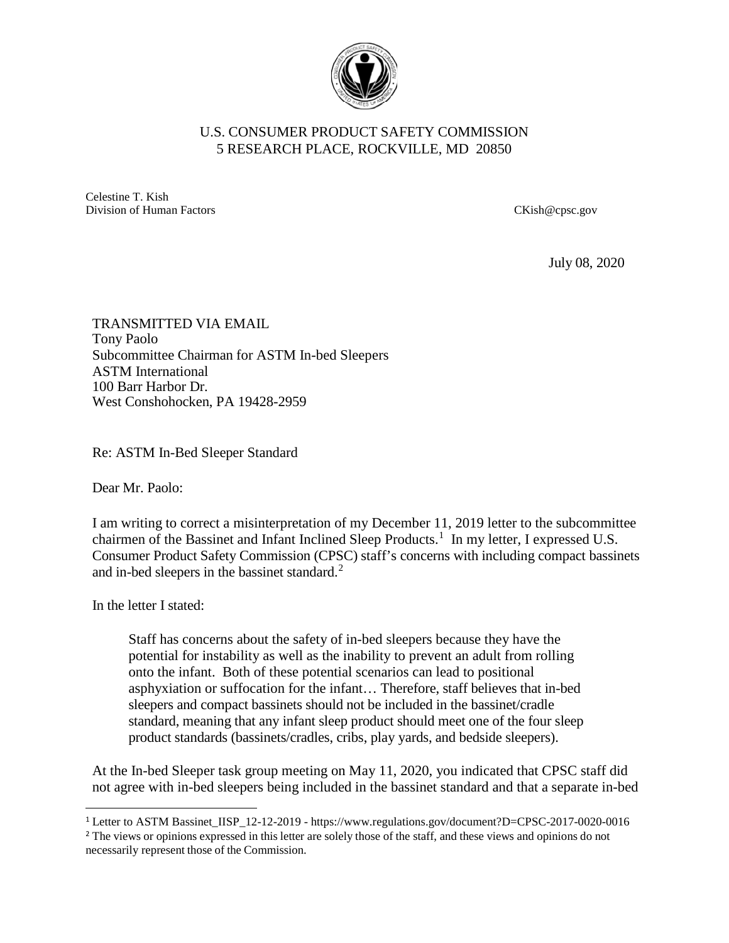

## U.S. CONSUMER PRODUCT SAFETY COMMISSION 5 RESEARCH PLACE, ROCKVILLE, MD 20850

Celestine T. Kish Division of Human Factors CKish@cpsc.gov

July 08, 2020

TRANSMITTED VIA EMAIL Tony Paolo Subcommittee Chairman for ASTM In-bed Sleepers ASTM International 100 Barr Harbor Dr. West Conshohocken, PA 19428-2959

Re: ASTM In-Bed Sleeper Standard

Dear Mr. Paolo:

I am writing to correct a misinterpretation of my December 11, 2019 letter to the subcommittee chairmen of the Bassinet and Infant Inclined Sleep Products.<sup>[1](#page-0-0)</sup> In my letter, I expressed U.S. Consumer Product Safety Commission (CPSC) staff's concerns with including compact bassinets and in-bed sleepers in the bassinet standard.<sup>[2](#page-0-1)</sup>

In the letter I stated:

Staff has concerns about the safety of in-bed sleepers because they have the potential for instability as well as the inability to prevent an adult from rolling onto the infant. Both of these potential scenarios can lead to positional asphyxiation or suffocation for the infant… Therefore, staff believes that in-bed sleepers and compact bassinets should not be included in the bassinet/cradle standard, meaning that any infant sleep product should meet one of the four sleep product standards (bassinets/cradles, cribs, play yards, and bedside sleepers).

At the In-bed Sleeper task group meeting on May 11, 2020, you indicated that CPSC staff did not agree with in-bed sleepers being included in the bassinet standard and that a separate in-bed

<span id="page-0-0"></span> <sup>1</sup> Letter to ASTM Bassinet\_IISP\_12-12-2019 - https://www.regulations.gov/document?D=CPSC-2017-0020-0016

<span id="page-0-1"></span><sup>&</sup>lt;sup>2</sup> The views or opinions expressed in this letter are solely those of the staff, and these views and opinions do not necessarily represent those of the Commission.